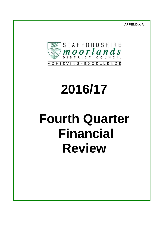**APPENDIX A**



# **2016/17**

# **Fourth Quarter Financial Review**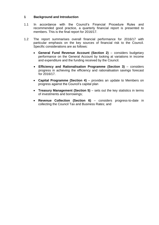# **1 Background and Introduction**

- 1.1 In accordance with the Council's Financial Procedure Rules and recommended good practice, a quarterly financial report is presented to members. This is the final report for 2016/17.
- 1.2 The report summarises overall financial performance for 2016/17 with particular emphasis on the key sources of financial risk to the Council. Specific considerations are as follows:
	- **General Fund Revenue Account (Section 2)** considers budgetary performance on the General Account by looking at variations in income and expenditure and the funding received by the Council.
	- **Efficiency and Rationalisation Programme (Section 3)**  considers progress in achieving the efficiency and rationalisation savings forecast for 2016/17.
	- **Capital Programme (Section 4)** provides an update to Members on progress against the Council's capital plan
	- **Treasury Management (Section 5) sets out the key statistics in terms** of investments and borrowings;
	- **Revenue Collection (Section 6)**  considers progress-to-date in collecting the Council Tax and Business Rates; and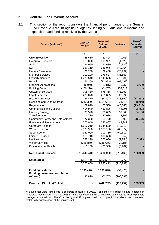# **2 General Fund Revenue Account**

2.1 This section of the report considers the financial performance of the General Fund Revenue Account against budget by setting out variations in income and expenditure and funding received by the Council.

| <b>Service (with staff)</b>                                                      | 2016/17<br><b>Budget</b> | <b>Projected</b><br><b>Outturn</b><br>2016/17 | <b>Variance</b>         | Use of<br><b>Earmarked</b><br><b>Reserves</b> |
|----------------------------------------------------------------------------------|--------------------------|-----------------------------------------------|-------------------------|-----------------------------------------------|
|                                                                                  | £                        | £                                             | £                       | £                                             |
| <b>Chief Executive</b>                                                           | 25,610                   | 21,404                                        | (4,206)                 |                                               |
| <b>Executive Directors</b>                                                       | 518,060                  | 513,931                                       | (4, 129)                |                                               |
| Audit                                                                            | 94,990                   | 90,670                                        | (4,320)                 |                                               |
| <b>ICT</b>                                                                       | 688,110                  | 646,046                                       | (42,064)                |                                               |
| Human Resources                                                                  | 66,250                   | 39,458                                        | (26, 792)               |                                               |
| <b>Member Services</b>                                                           | 312,100                  | 276,537                                       | (35, 563)               |                                               |
| <b>Property Services</b>                                                         | 1,223,540                | 1,143,606                                     | (79, 934)               |                                               |
| <b>Benefits</b>                                                                  | 56,300                   | (12, 883)                                     | (69, 183)               |                                               |
| <b>Planning Applications</b>                                                     | (16, 940)                | 23,813                                        | 40,753                  | 3,689                                         |
| <b>Building Control</b>                                                          | (156, 220)               | (3,207)                                       | 153,013                 |                                               |
| <b>Customer Services</b>                                                         | 708,480                  | 675,318                                       | (33, 162)               |                                               |
| <b>Legal Services</b>                                                            | 230,070                  | 251,065                                       | 20,995                  |                                               |
| <b>Electoral Services</b>                                                        | 84,470                   | (4, 397)                                      | (88, 867)               | (17, 831)                                     |
| Licensing and Land Charges                                                       | (219, 300)               | (194, 654)                                    | 24,646                  | 18,048                                        |
| Regeneration                                                                     | 452,890                  | 407,550                                       | (45, 340)               | (29, 645)                                     |
| <b>Communities and Cultural</b>                                                  | 414,940                  | 459,836                                       | 44,896                  | 96,803                                        |
| <b>Housing Strategy</b>                                                          | 28,590                   | 80,653                                        | 52,063                  | 54,106                                        |
| Transformation                                                                   | 214,730                  | 227,086                                       | 12,356                  |                                               |
| <b>Community Safety and Enforcement</b>                                          | 177,360                  | 168,770                                       | (8,590)                 | (8,523)                                       |
| <b>Finance and Procurement</b>                                                   | 276,940                  | 320,887                                       | 43,947                  |                                               |
| <b>Corporate Finance</b>                                                         | 1,617,210                | 1,544,599                                     | (72, 611)               |                                               |
| <b>Waste Collection</b>                                                          | 2,028,980                | 1,968,106                                     | (60, 874)               |                                               |
| <b>Street Scene</b>                                                              | 360,000                  | 309,389                                       | (50, 611)               |                                               |
| Leisure Services                                                                 | 610,710                  | 610,658                                       | (52)                    |                                               |
| Horticulture                                                                     | 583,290                  | 576,036                                       | (7, 254)                | 7,313                                         |
| <b>Visitor Services</b>                                                          | (348, 850)               | (316, 666)                                    | 32,184                  |                                               |
| <b>Environmental Health</b>                                                      | 411,130                  | 407,368                                       | (3,762)                 |                                               |
| <b>Net Total of Services</b>                                                     | 10,443,440               | 10,230,980                                    | (212, 460)              | 123,959                                       |
| <b>Net Interest</b>                                                              | (387, 790)               | (393, 567)                                    | (5, 777)                |                                               |
|                                                                                  | 10,055,650               | 9,837,413                                     | (218, 237)              |                                               |
| <b>Funding - external</b><br><b>Funding - reserves contribution</b><br>to/(from) | (10, 148, 470)<br>92,820 | (10, 242, 898)<br>(7, 267)                    | (94, 428)<br>(100, 087) |                                               |
| <b>Projected (Surplus)/Deficit</b>                                               |                          | (412, 752)                                    | (412, 752)              | 123,959                                       |
|                                                                                  |                          |                                               |                         |                                               |

<sup>\*\*</sup> Staff costs were considered a corporate resource in 2016/17 and therefore budgeted and recorded in Finance & Procurement. From 2017/18 In future years all staff will be budgeted at the service level to promote manager accountability. Therefore, the Quarter Four provisional outturn position includes actual costs (and matching budgets) shown at the service level.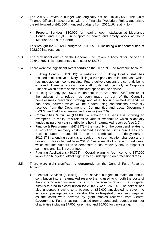- 2.2 The 2016/17 revenue budget was originally set at £10,014,650. The Chief Finance Officer, in accordance with the Financial Procedure Rules, authorised the roll forward of £41,000 in unused budgets from 2015/16, relating to:-
	- Property Services: £10,000 for hearing loop installation at Moorlands House; and £31,000 in support of health and safety works at South Moorlands Leisure Centre.

This brought the 2016/17 budget to £10,055,650 including a net contribution of £92,820 into reserves.

- 2.3 The provisional outturn on the General Fund Revenue Account for the year is £9,642,898. This represents a surplus of £412,752.
- 2.4 There were five significant **overspends** on the General Fund Revenue Account:
	- Building Control (£153,013): a reduction in Building Control staff has resulted in alternative delivery utilising a third party on an interim basis which has impacted on income receipts. Future delivery options are currently being explored. There is a saving on staff costs held centrally in Corporate Finance which offsets some of this overspend on the service.
	- Housing Strategy (£52,063): A contribution to Arch North Staffordshire for the upkeep of a refuge has been made as part of the Council's homelessness prevention strategy and other housing related expenditure has been incurred which will be funded using contributions previously received from the Department of Communities and Local Government (DCLG) and held in an earmarked reserve (see 2.6)
	- Communities & Culture (£44,896) although the service is showing an overspend, in reality, this relates to various expenditure which is actually funded using prior year contributions held in earmarked reserves (see 2.6)
	- Finance & Procurement  $(E43.947)$  the majority of the overspend relates to a reduction in recovery costs charged associated with Council Tax and Business Rates arrears. This is due to a combination of a delay early in 2016/17 in attending court (as a result of the court location changes) and a revision to fees charged from 2016/17 as a result of a recent court case, which requires Authorities to demonstrate cost recovery only in respect of summons and liability order fees.
	- Planning Applications (40,753) Overall planning fee income is £47,000 lower than budgeted, offset slightly by an underspend on professional fees.
- 2.5 There were eight significant **underspends** on the General Fund Revenue Account:
	- Electoral Services (£88,867). The service budgets to make an annual contribution into an earmarked reserve that is used to smooth the costs of the council's elections over the term of the administration. The budgeted surplus to fund this contribution for 2016/17 was £26,680. The service has also underspent owing to a budget of £32,000 anticipated to cover the increased postage costs of Individual Elector Registration not being required as the costs were covered by grant monies received from Central Government. Further savings resulted from underspends across a number of activities including £7,000 for printing and £6,000 for canvassing.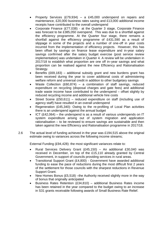- Property Services (£79,934) a £45,000 underspend on repairs and maintenance, £20,000 business rates saving and £13,000 additional income receipts have contributed to the overall underspend
- Corporate Finance (£77,038) at the Quarter 3 stage, Corporate Finance was forecast to be £385,050 overspend. This was due to a shortfall against the efficiency programme. At the Quarter four stage, there remains a shortfall against the efficiency programme of £431,590 as a result of slippage in some of the projects and a number of one-off in year costs incurred from the implementation of efficiency projects. However, this has been offset by savings on finance lease expenditure and in-year salary savings confirmed after the salary budget exercise (post service review implementation) was undertaken in Quarter 4. A review will be undertaken in 2017/18 to establish what proportion are one off in–year savings and what proportion can be realised against the new Efficiency and Rationalisation Strategy.
- Benefits (£69,183) additional subsidy grant and new burdens grant has been received during the year to cover additional costs of administering welfare reform and universal credit in addition to other budgetary savings
- Waste Collection (£60,874) a combination of staff savings, reduced expenditure on recycling (disposal charges and gate fees) and additional trade waste income have contributed to the underspend – offset slightly by reduced recycling income and additional vehicle hire costs
- Street Scene (£50,611) reduced expenditure on staff (including use of agency staff) have resulted in an overall underspend
- Regeneration (£45,340): Owing to the re-profiling of Local Plan activities there is an underspend against the annual budget
- ICT (£42,064) the underspend is as a result of various underspends on IT system expenditure arising out of system migration and application rationalisation – to be reviewed to ensure savings are sustainable and then taken against the new Efficiency and Rationalisation programme in 2017/18.
- 2.6 The actual level of funding achieved in the year was £194,515 above the original estimate owing to variances across the following income streams;

External Funding (£94,428): the most significant variances relate to:

- Rural Services Delivery Grant (£45,150) An additional £30,040 was received in December, on top of the £15,110 already granted by Central Government, in support of councils providing services in rural areas.
- Transitional Support Grant (£4,800) Government have awarded additional funding to ease the pace of reductions during the most difficult first 2 years of the settlement for those councils with the sharpest reductions in Revenue Support Grant.
- New Homes Bonus (£5,518) –the Authority received slightly more in the way of bonus that originally anticipated
- Business Rates Retention (£34,810) additional Business Rates income has been retained in the year compared to the budget owing to an increase in S31 grants receivable following awards of Small Business Rate Relief.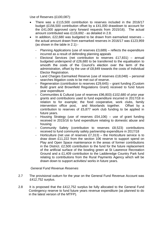Use of Reserves (£100,087):

- There was a £115,500 contribution to reserves included in the 2016/17 budget (£156,500 contribution offset by a £41,000 drawdown to account for the £41,000 approved carry forward requests from 2015/16). The actual amount contributed was £116,692 - as detailed in 2.8.
- In addition, £22,680 was budgeted to be drawn from earmarked reserves the actual amount drawn from earmarked reserves in 2016/17 was £123,959 (as shown in the table in 2.1):-
	- Planning Applications (use of reserves  $£3,689$ ) reflects the expenditure incurred as a result of defending planning appeals
	- Electoral Services (net contribution to reserves £17,831) annual budgeted underspend of £26,680 to be transferred to the equalisation to smooth the costs of the Council's election over the term of the administration, offset by the use of £8,849 towards the costs of Individual Elector Registration.
	- Land Charges Earmarked Reserve (use of reserves £18,048) personal searches litigation costs to be met out of reserve.
	- Regeneration (contribution to reserves £29,645) grant funding (Custom Build grant and Brownfield Regulations Grant) received to fund future year expenditure
	- Communities & Cultural (use of reserves £96,803) £102,680 of prior year grants and contributions used to fund expenditure incurred in 2017/18 in relation to for example; the food cooperative, work clubs, family intervention office post, and Moorlands together. Offset by a contribution to reserves of £5,877 work club funding to be applied in future years.
	- Housing Strategy (use of reserves  $£54,106$ ) use of grant funding received in 2015/16 to fund expenditure relating to domestic abuse and housing
	- Community Safety (contribution to reserves £8,523) contributions received to fund community safety partnership expenditure in 2017/18
	- Horticulture (net use of reserves £7,313) the Horticulture service is to draw down £11,222 from the section 106 reserve to support spend on Play and Open Space maintenance in the areas of former contributions in the District. £2,500 contribution to the fund for the future replacement of the artificial surface of the bowling green at St Lawrence Recreation Ground and a £1,409 contribution to the Ladderedge Country Park fund relating to contributions from the Rural Payments Agency which will be drawn down to support activities/ works in future years.

#### *General Fund Revenue Reserves*

- 2.7 The provisional outturn for the year on the General Fund Revenue Account was £412,752 surplus.
- 2.8 It is proposed that the £412,752 surplus be fully allocated to the General Fund Contingency reserve to fund future years revenue expenditure (as planned to do in the latest version of the MTFP).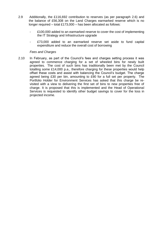- 2.9 Additionally, the £116,692 contribution to reserves (as per paragraph 2.6) and the balance of £56,308 on the Land Charges earmarked reserve which is no longer required – total £173,000 – has been allocated as follows:
	- £100,000 added to an earmarked reserve to cover the cost of implementing the IT Strategy and Infrastructure upgrade
	- £73,000 added to an earmarked reserve set aside to fund capital expenditure and reduce the overall cost of borrowing

#### *Fees and Charges*

2.10 In February, as part of the Council's fees and charges setting process it was agreed to commence charging for a set of wheeled bins for newly built properties. The cost of such bins has traditionally been met by the Council totalling some £14,000 p.a., therefore charging for these properties would help offset these costs and assist with balancing the Council's budget. The charge agreed being £30 per bin, amounting to £90 for a full set per property. The Portfolio Holder for Environment Services has asked that this charge be revisited with a view to delivering the first set of bins to new properties free of charge. It is proposed that this is implemented and the Head of Operational Services is requested to identify other budget savings to cover for the loss in projected income.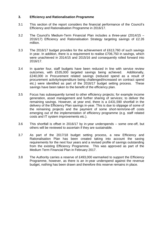### **3. Efficiency and Rationalisation Programme**

- 3.1 This section of the report considers the financial performance of the Council's Efficiency and Rationalisation Programme in 2016/17.
- 3.2 The Council's Medium-Term Financial Plan includes a three-year (2014/15 2016/17) Efficiency and Rationalisation Strategy targeting savings of £2.26 million.
- 3.3 The 2016/17 budget provides for the achievement of £613,760 of such savings in year. In addition, there is a requirement to realise £706,750 in savings, which were unachieved in 2014/15 and 2015/16 and consequently rolled forward into 2016/17.
- 3.4 In quarter four, staff budgets have been reduced in line with service review outcomes, with £535,000 targeted savings being achieved. Additionally, £240,000 in Procurement related savings (reduced spend as a result of procurement activity/expenditure being challenged/increased on contract spend etc.) were identified as part of the 2016/17 budget setting process. These savings have been taken to the benefit of the efficiency plan.
- 3.5 Focus has subsequently turned to other efficiency projects; for example income generation, asset management and further sharing of services; to deliver the remaining savings. However, at year end, there is a £431,590 shortfall in the delivery of the Efficiency Plan savings in-year. This is due to slippage of some of the remaining projects and the payment of some short-term/one-off costs emerging out of the implementation of efficiency programme (e.g. staff related costs and IT system improvements etc.).
- 3.6 This shortfall is offset in 2016/17 by in-year underspends some one-off, but others will be reviewed to ascertain if they are sustainable.
- 3.7 As part of the 2017/18 budget setting process, a new Efficiency and Rationalisation Plan has been created taking into account the saving requirements for the next four years and a revised profile of savings outstanding from the existing Efficiency Programme. This was approved as part of the Medium Term Financial Plan in February 2017.
- 3.8 The Authority carries a reserve of £493,000 earmarked to support the Efficiency Programme, however, as there is an in-year underspend against the revenue budget, nothing has been drawn and therefore this reserve remains in place.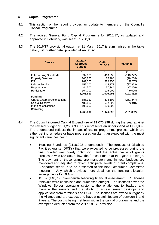# **4 Capital Programme**

- 4.1 This section of the report provides an update to members on the Council's Capital Programme
- 4.2 The revised General Fund Capital Programme for 2016/17, as updated and approved in February, was set at £1,268,830
- 4.3 The 2016/17 provisional outturn at 31 March 2017 is summarised in the table below, with further detail provided at Annex A:

| <b>Service</b>                       | 2016/17<br><b>Approved</b><br><b>Budget</b> | <b>Outturn</b><br>2016/17 | <b>Variance</b> |  |
|--------------------------------------|---------------------------------------------|---------------------------|-----------------|--|
|                                      | £                                           | £                         | £               |  |
| <b>EH- Housing Standards</b>         | 532,060                                     | 413,838                   | (118, 222)      |  |
| <b>Property Services</b>             | 105,270                                     | 76,984                    | (28, 286)       |  |
| ICT                                  | 281,000                                     | 329,755                   | 48,755          |  |
| Leisure Services                     | 152,000                                     | 114,177                   | (37, 823)       |  |
| Regeneration                         | 44.500                                      | 37.244                    | (7, 256)        |  |
| Horticulture                         | 154.000                                     | 105,000                   | (49,000)        |  |
|                                      | 1,268,830                                   | 1,076,998                 | (191, 832)      |  |
| <b>Funding</b>                       |                                             |                           |                 |  |
| <b>Grants External Contributions</b> | 685,950                                     | 424,103                   | (261, 847)      |  |
| <b>Capital Reserve</b>               | 482,880                                     | 552,895                   | 70,015          |  |
| Planning obligations                 | 100.000                                     | 100,000                   |                 |  |
| <b>Borrowing</b>                     |                                             |                           |                 |  |
|                                      | 1,268.830                                   | 1,076,998                 | (191, 832)      |  |

- 4.4 The Council incurred Capital Expenditure of £1,076,998 during the year against the revised budget of £1,268,830. This represents an underspend of £191,832. The underspend reflects the impact of capital programme projects which are either behind schedule or have progressed quicker than expected with the most significant variances being:
	- Housing Standards (£118,222 underspend) The forecast of Disabled Facilities grants (DFG's) that were expected to be processed during the final quarter was overly optimistic and the actual value of grants processed was £86,596 below the forecast made at the Quarter 3 stage. The payment of these grants are mandatory and in year budgets are monitored and adjusted to reflect anticipated levels of grant completions. A separate report is to be presented to the next Resources Committee meeting in July which provides more detail on the funding allocation arrangements for DFG's.
	- ICT (£48,755 overspend)- following financial assessment, ICT license renewals were capitalised and purchased outright. The licenses cover the Windows Server operating systems, the entitlement to backup and manage the servers and the ability to access server desktops and applications from terminals and PC's. The licenses are owned outright by the Alliance and are expected to have a useful lifespan of between 6 and 9 years. The cost is being met from within the capital programme and the overspend deducted from the 2017-18 ICT provision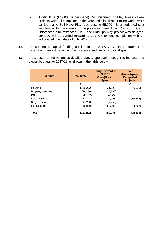- Horticulture (£49,000 underspend) Refurbishment of Play Areas Leek projects were all completed in the year. Additional resurfacing works were carried out to Ball Haye Play Area costing £5,000 this unbudgeted cost was funded by the owners of the play area (Leek Town Council). Due to unforeseen circumstances, Hot Lane Biddulph play project was delayed; £54,000 will be carried forward to 2017/18 to fund completion with an anticipated finish date of July 2017
- 4.5 Consequently, capital funding applied to the 2016/17 Capital Programme is lower than forecast, reflecting the incidence and timing of capital spend.
- 4.6 As a result of the variances detailed above, approval is sought to increase the capital budgets for 2017/18 as shown in the table below:

| <b>Service</b>           | <b>Variance</b> | <b>Carry Forward to</b><br>2017/18<br><b>Over/(Under)</b><br><b>Spend</b> | Over/<br>(Under)spend<br><b>Completed</b><br><b>Projects</b> |  |
|--------------------------|-----------------|---------------------------------------------------------------------------|--------------------------------------------------------------|--|
|                          | £               | £                                                                         | £                                                            |  |
| Housing                  | (118, 222)      | (31, 626)                                                                 | (86, 596)                                                    |  |
| <b>Property Services</b> | (28, 286)       | (28, 286)                                                                 |                                                              |  |
| <b>ICT</b>               | 48,755          | 48,755                                                                    |                                                              |  |
| Leisure Services         | (37, 823)       | (20, 958)                                                                 | (16, 865)                                                    |  |
| Regeneration             | (7, 256)        | (7, 256)                                                                  |                                                              |  |
| Horticulture             | (49,000)        | (54,000)                                                                  | 5,000                                                        |  |
| <b>Total</b>             | (191, 832)      | (93, 371)                                                                 | (98, 461)                                                    |  |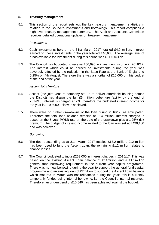# **5. Treasury Management**

5.1 This section of the report sets out the key treasury management statistics in relation to the Council's investments and borrowings. This report comprises a high level treasury management summary. The Audit and Accounts Committee receives detailed operational updates on treasury management.

#### *Investments*

- 5.2 Cash Investments held on the 31st March 2017 totalled £4.9 million. Interest earned on these investments in the year totalled £46,630. The average level of funds available for investment during this period was £11.5 million.
- 5.3 The Council has budgeted to receive £56,690 in investment income in 2016/17. The interest which could be earned on investments during the year was adversely affected by the reduction in the Base Rate at the Bank of England to 0.25% on 4th August. Therefore there was a shortfall of £10,060 on this budget at the end of the year.

#### *Ascent Joint Venture*

- 5.4 Ascent (the joint venture company set up to deliver affordable housing across the District) had drawn the full £5 million debenture facility by the end of 2014/15. Interest is charged at 2%, therefore the budgeted interest income for the year is £100,000; this was achieved.
- 5.5 There were no further drawdowns of the loan during 2016/17, as anticipated. Therefore the total loan balance remains at £14 million. Interest charged is based on the 5 year PWLB rate on the date of the drawdown plus a 1.25% risk premium. The budget of interest income related to the loan was set at £490,100 and was achieved.

#### *Borrowing*

- 5.6 The debt outstanding as at 31st March 2017 totalled £13.2 million. £12 million has been used to fund the Ascent Loan, the remaining £1.2 million relates to finance leases.
- 5.7 The Council budgeted to incur £259,000 in interest charges in 2016/17. This was based on the existing Ascent Loan balance of £14million and a £1.5million general fund borrowing requirement in the current year capital programme. There was no new borrowing during the year to support the general fund capital programme and an existing loan of £2million to support the Ascent Loan balance which matured in March was not refinanced during the year; this is currently temporarily funded using internal borrowing, i.e. the Council's internal reserves. Therefore, an underspend of £15,840 has been achieved against the budget.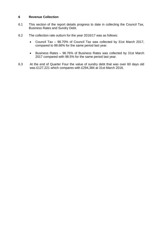# **6 Revenue Collection**

- 6.1 This section of the report details progress to date in collecting the Council Tax, Business Rates and Sundry Debt.
- 6.2 The collection rate outturn for the year 2016/17 was as follows:
	- Council Tax 98.70% of Council Tax was collected by 31st March 2017, compared to 98.66% for the same period last year.
	- Business Rates 98.76% of Business Rates was collected by 31st March 2017 compared with 98.5% for the same period last year.
- 6.3 At the end of Quarter Four the value of sundry debt that was over 60 days old was £127,221 which compares with £294,384 at 31st March 2016.